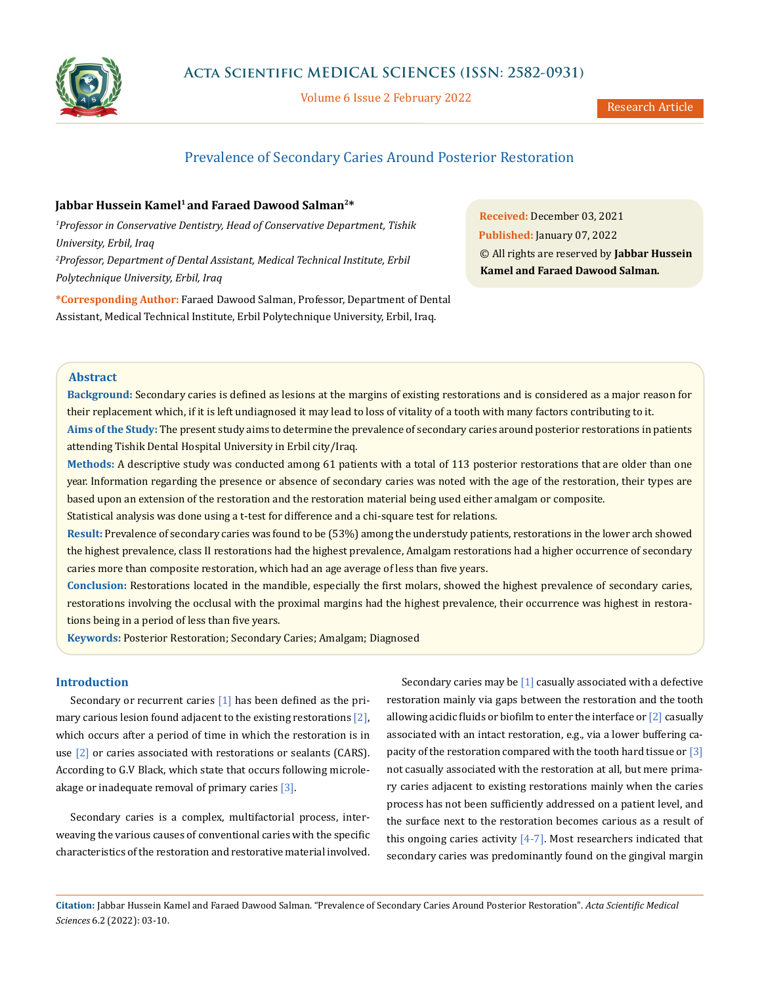

Volume 6 Issue 2 February 2022

# Prevalence of Secondary Caries Around Posterior Restoration

# Jabbar Hussein Kamel<sup>1</sup> and Faraed Dawood Salman<sup>2\*</sup>

*1 Professor in Conservative Dentistry, Head of Conservative Department, Tishik University, Erbil, Iraq 2 Professor, Department of Dental Assistant, Medical Technical Institute, Erbil Polytechnique University, Erbil, Iraq*

**\*Corresponding Author:** Faraed Dawood Salman, Professor, Department of Dental Assistant, Medical Technical Institute, Erbil Polytechnique University, Erbil, Iraq.

**Received:** December 03, 2021 **Published:** January 07, 2022 © All rights are reserved by **Jabbar Hussein Kamel and Faraed Dawood Salman***.*

# **Abstract**

**Background:** Secondary caries is defined as lesions at the margins of existing restorations and is considered as a major reason for their replacement which, if it is left undiagnosed it may lead to loss of vitality of a tooth with many factors contributing to it. **Aims of the Study:** The present study aims to determine the prevalence of secondary caries around posterior restorations in patients attending Tishik Dental Hospital University in Erbil city/Iraq.

**Methods:** A descriptive study was conducted among 61 patients with a total of 113 posterior restorations that are older than one year. Information regarding the presence or absence of secondary caries was noted with the age of the restoration, their types are based upon an extension of the restoration and the restoration material being used either amalgam or composite.

Statistical analysis was done using a t-test for difference and a chi-square test for relations.

**Result:** Prevalence of secondary caries was found to be (53%) among the understudy patients, restorations in the lower arch showed the highest prevalence, class II restorations had the highest prevalence, Amalgam restorations had a higher occurrence of secondary caries more than composite restoration, which had an age average of less than five years.

**Conclusion:** Restorations located in the mandible, especially the first molars, showed the highest prevalence of secondary caries, restorations involving the occlusal with the proximal margins had the highest prevalence, their occurrence was highest in restorations being in a period of less than five years.

**Keywords:** Posterior Restoration; Secondary Caries; Amalgam; Diagnosed

## **Introduction**

Secondary or recurrent caries [1] has been defined as the primary carious lesion found adjacent to the existing restorations [2], which occurs after a period of time in which the restoration is in use [2] or caries associated with restorations or sealants (CARS). According to G.V Black, which state that occurs following microleakage or inadequate removal of primary caries [3].

Secondary caries is a complex, multifactorial process, interweaving the various causes of conventional caries with the specific characteristics of the restoration and restorative material involved.

Secondary caries may be [1] casually associated with a defective restoration mainly via gaps between the restoration and the tooth allowing acidic fluids or biofilm to enter the interface or  $\lceil 2 \rceil$  casually associated with an intact restoration, e.g., via a lower buffering capacity of the restoration compared with the tooth hard tissue or [3] not casually associated with the restoration at all, but mere primary caries adjacent to existing restorations mainly when the caries process has not been sufficiently addressed on a patient level, and the surface next to the restoration becomes carious as a result of this ongoing caries activity  $[4-7]$ . Most researchers indicated that secondary caries was predominantly found on the gingival margin

**Citation:** Jabbar Hussein Kamel and Faraed Dawood Salman*.* "Prevalence of Secondary Caries Around Posterior Restoration". *Acta Scientific Medical Sciences* 6.2 (2022): 03-10.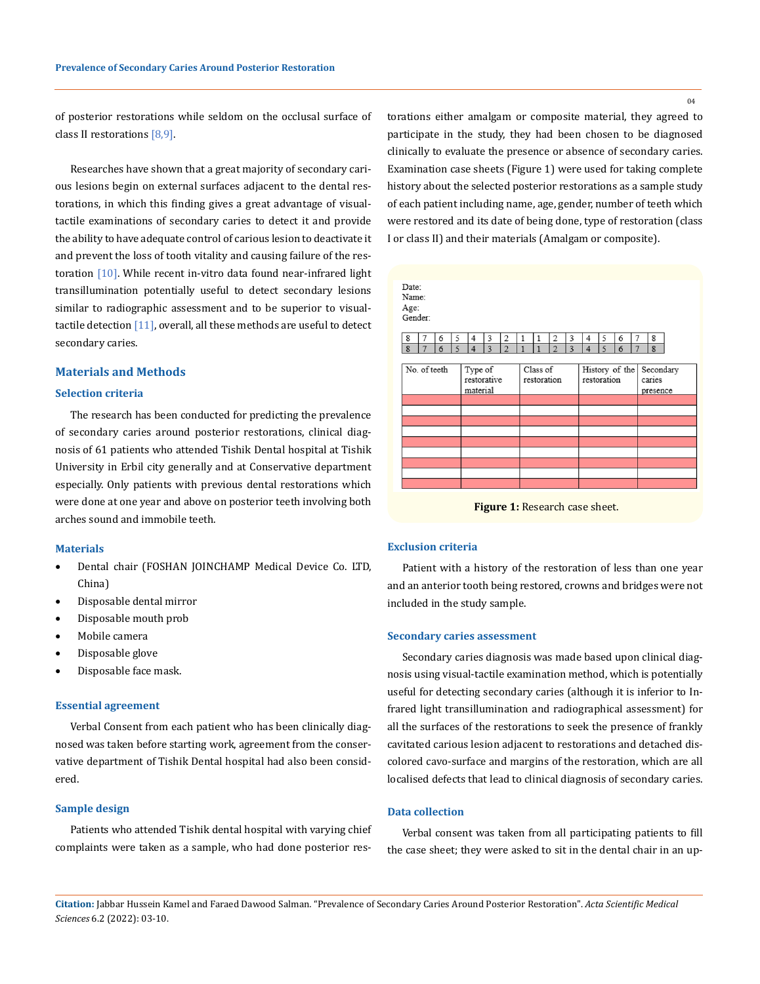of posterior restorations while seldom on the occlusal surface of class II restorations [8,9].

Researches have shown that a great majority of secondary carious lesions begin on external surfaces adjacent to the dental restorations, in which this finding gives a great advantage of visualtactile examinations of secondary caries to detect it and provide the ability to have adequate control of carious lesion to deactivate it and prevent the loss of tooth vitality and causing failure of the restoration [10]. While recent in-vitro data found near-infrared light transillumination potentially useful to detect secondary lesions similar to radiographic assessment and to be superior to visualtactile detection [11], overall, all these methods are useful to detect secondary caries.

#### **Materials and Methods**

#### **Selection criteria**

The research has been conducted for predicting the prevalence of secondary caries around posterior restorations, clinical diagnosis of 61 patients who attended Tishik Dental hospital at Tishik University in Erbil city generally and at Conservative department especially. Only patients with previous dental restorations which were done at one year and above on posterior teeth involving both arches sound and immobile teeth.

#### **Materials**

- • Dental chair (FOSHAN JOINCHAMP Medical Device Co. LTD, China)
- Disposable dental mirror
- • Disposable mouth prob
- Mobile camera
- Disposable glove
- • Disposable face mask.

#### **Essential agreement**

Verbal Consent from each patient who has been clinically diagnosed was taken before starting work, agreement from the conservative department of Tishik Dental hospital had also been considered.

#### **Sample design**

Patients who attended Tishik dental hospital with varying chief complaints were taken as a sample, who had done posterior restorations either amalgam or composite material, they agreed to participate in the study, they had been chosen to be diagnosed clinically to evaluate the presence or absence of secondary caries. Examination case sheets (Figure 1) were used for taking complete history about the selected posterior restorations as a sample study of each patient including name, age, gender, number of teeth which were restored and its date of being done, type of restoration (class I or class II) and their materials (Amalgam or composite).



**Figure 1:** Research case sheet.

#### **Exclusion criteria**

Patient with a history of the restoration of less than one year and an anterior tooth being restored, crowns and bridges were not included in the study sample.

#### **Secondary caries assessment**

Secondary caries diagnosis was made based upon clinical diagnosis using visual-tactile examination method, which is potentially useful for detecting secondary caries (although it is inferior to Infrared light transillumination and radiographical assessment) for all the surfaces of the restorations to seek the presence of frankly cavitated carious lesion adjacent to restorations and detached discolored cavo-surface and margins of the restoration, which are all localised defects that lead to clinical diagnosis of secondary caries.

### **Data collection**

Verbal consent was taken from all participating patients to fill the case sheet; they were asked to sit in the dental chair in an up-

**Citation:** Jabbar Hussein Kamel and Faraed Dawood Salman*.* "Prevalence of Secondary Caries Around Posterior Restoration". *Acta Scientific Medical Sciences* 6.2 (2022): 03-10.

 $04$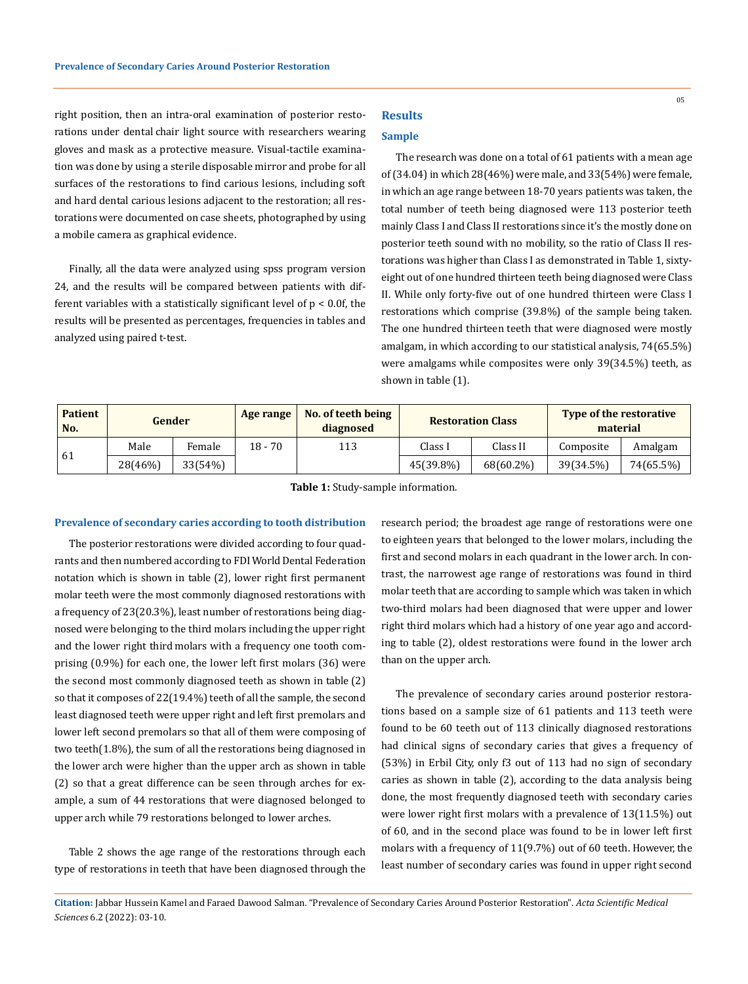right position, then an intra-oral examination of posterior restorations under dental chair light source with researchers wearing gloves and mask as a protective measure. Visual-tactile examination was done by using a sterile disposable mirror and probe for all surfaces of the restorations to find carious lesions, including soft and hard dental carious lesions adjacent to the restoration; all restorations were documented on case sheets, photographed by using a mobile camera as graphical evidence.

Finally, all the data were analyzed using spss program version 24, and the results will be compared between patients with different variables with a statistically significant level of p < 0.0f, the results will be presented as percentages, frequencies in tables and analyzed using paired t-test.

# **Results**

#### **Sample**

The research was done on a total of 61 patients with a mean age of (34.04) in which 28(46%) were male, and 33(54%) were female, in which an age range between 18-70 years patients was taken, the total number of teeth being diagnosed were 113 posterior teeth mainly Class I and Class II restorations since it's the mostly done on posterior teeth sound with no mobility, so the ratio of Class II restorations was higher than Class I as demonstrated in Table 1, sixtyeight out of one hundred thirteen teeth being diagnosed were Class II. While only forty-five out of one hundred thirteen were Class I restorations which comprise (39.8%) of the sample being taken. The one hundred thirteen teeth that were diagnosed were mostly amalgam, in which according to our statistical analysis, 74(65.5%) were amalgams while composites were only 39(34.5%) teeth, as shown in table (1).

| <b>Patient</b><br>No. | Gender  |         | Age range | No. of teeth being<br>diagnosed | <b>Restoration Class</b> |           | Type of the restorative<br>material |           |
|-----------------------|---------|---------|-----------|---------------------------------|--------------------------|-----------|-------------------------------------|-----------|
| -61                   | Male    | Female  | $18 - 70$ | 113                             | Class l                  | Class II  | Composite                           | Amalgam   |
|                       | 28(46%) | 33(54%) |           |                                 | 45(39.8%)                | 68(60.2%) | 39(34.5%)                           | 74(65.5%) |

**Table 1:** Study-sample information.

#### **Prevalence of secondary caries according to tooth distribution**

The posterior restorations were divided according to four quadrants and then numbered according to FDI World Dental Federation notation which is shown in table (2), lower right first permanent molar teeth were the most commonly diagnosed restorations with a frequency of 23(20.3%), least number of restorations being diagnosed were belonging to the third molars including the upper right and the lower right third molars with a frequency one tooth comprising (0.9%) for each one, the lower left first molars (36) were the second most commonly diagnosed teeth as shown in table (2) so that it composes of 22(19.4%) teeth of all the sample, the second least diagnosed teeth were upper right and left first premolars and lower left second premolars so that all of them were composing of two teeth(1.8%), the sum of all the restorations being diagnosed in the lower arch were higher than the upper arch as shown in table (2) so that a great difference can be seen through arches for example, a sum of 44 restorations that were diagnosed belonged to upper arch while 79 restorations belonged to lower arches.

Table 2 shows the age range of the restorations through each type of restorations in teeth that have been diagnosed through the research period; the broadest age range of restorations were one to eighteen years that belonged to the lower molars, including the first and second molars in each quadrant in the lower arch. In contrast, the narrowest age range of restorations was found in third molar teeth that are according to sample which was taken in which two-third molars had been diagnosed that were upper and lower right third molars which had a history of one year ago and according to table (2), oldest restorations were found in the lower arch than on the upper arch.

The prevalence of secondary caries around posterior restorations based on a sample size of 61 patients and 113 teeth were found to be 60 teeth out of 113 clinically diagnosed restorations had clinical signs of secondary caries that gives a frequency of (53%) in Erbil City, only f3 out of 113 had no sign of secondary caries as shown in table (2), according to the data analysis being done, the most frequently diagnosed teeth with secondary caries were lower right first molars with a prevalence of 13(11.5%) out of 60, and in the second place was found to be in lower left first molars with a frequency of 11(9.7%) out of 60 teeth. However, the least number of secondary caries was found in upper right second

**Citation:** Jabbar Hussein Kamel and Faraed Dawood Salman*.* "Prevalence of Secondary Caries Around Posterior Restoration". *Acta Scientific Medical Sciences* 6.2 (2022): 03-10.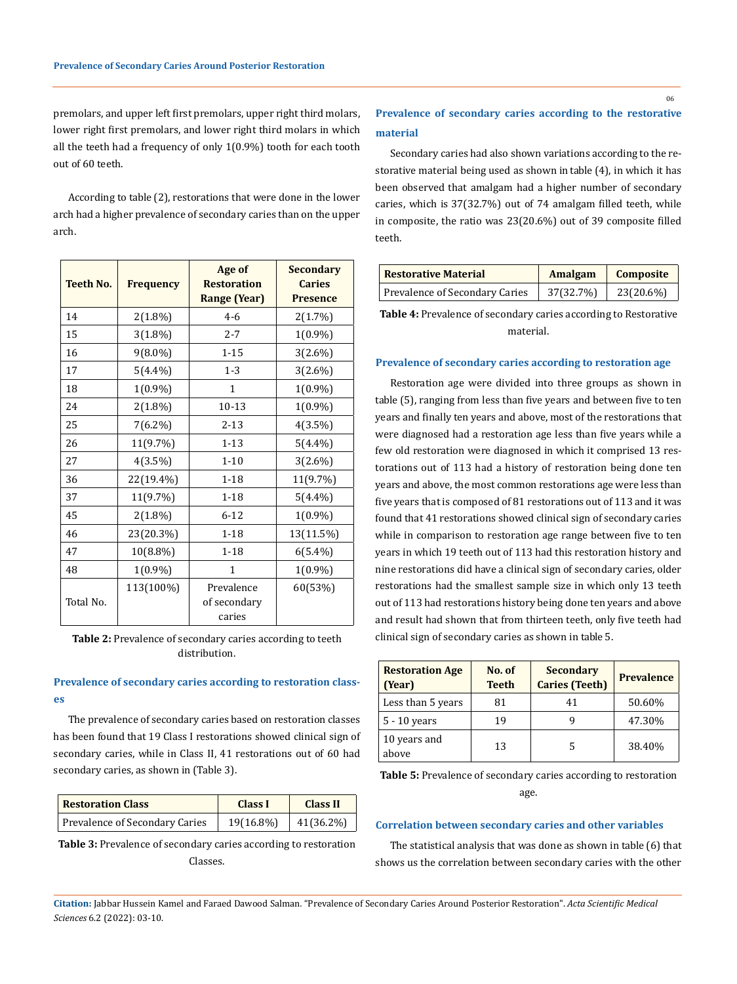premolars, and upper left first premolars, upper right third molars, lower right first premolars, and lower right third molars in which all the teeth had a frequency of only 1(0.9%) tooth for each tooth out of 60 teeth.

According to table (2), restorations that were done in the lower arch had a higher prevalence of secondary caries than on the upper arch.

| <b>Teeth No.</b> | <b>Frequency</b> | Age of<br><b>Restoration</b><br><b>Range (Year)</b> | <b>Secondary</b><br><b>Caries</b><br><b>Presence</b> |
|------------------|------------------|-----------------------------------------------------|------------------------------------------------------|
| 14               | $2(1.8\%)$       | $4 - 6$                                             | 2(1.7%)                                              |
| 15               | $3(1.8\%)$       | $2 - 7$                                             | $1(0.9\%)$                                           |
| 16               | 9(8.0%)          | $1 - 15$                                            | 3(2.6%)                                              |
| 17               | $5(4.4\%)$       | $1 - 3$                                             | 3(2.6%)                                              |
| 18               | $1(0.9\%)$       | 1                                                   | 1(0.9%)                                              |
| 24               | $2(1.8\%)$       | $10 - 13$                                           | $1(0.9\%)$                                           |
| 25               | $7(6.2\%)$       | $2 - 13$                                            | $4(3.5\%)$                                           |
| 26               | 11(9.7%)         | $1 - 13$                                            | $5(4.4\%)$                                           |
| 27               | $4(3.5\%)$       | $1 - 10$                                            | $3(2.6\%)$                                           |
| 36               | 22(19.4%)        | $1 - 18$                                            | 11(9.7%)                                             |
| 37               | 11(9.7%)         | $1 - 18$                                            | $5(4.4\%)$                                           |
| 45               | $2(1.8\%)$       | $6 - 12$                                            | $1(0.9\%)$                                           |
| 46               | 23(20.3%)        | $1 - 18$                                            | 13(11.5%)                                            |
| 47               | 10(8.8%)         | $1 - 18$                                            | $6(5.4\%)$                                           |
| 48               | 1(0.9%)          | 1                                                   | 1(0.9%)                                              |
| Total No.        | 113(100%)        | Prevalence<br>of secondary<br>caries                | 60(53%)                                              |

**Table 2:** Prevalence of secondary caries according to teeth distribution.

## **Prevalence of secondary caries according to restoration classes**

The prevalence of secondary caries based on restoration classes has been found that 19 Class I restorations showed clinical sign of secondary caries, while in Class II, 41 restorations out of 60 had secondary caries, as shown in (Table 3).

| <b>Restoration Class</b>       | Class I   | Class II  |  |
|--------------------------------|-----------|-----------|--|
| Prevalence of Secondary Caries | 19(16.8%) | 41(36.2%) |  |

**Table 3:** Prevalence of secondary caries according to restoration Classes.

# **Prevalence of secondary caries according to the restorative material**

Secondary caries had also shown variations according to the restorative material being used as shown in table (4), in which it has been observed that amalgam had a higher number of secondary caries, which is 37(32.7%) out of 74 amalgam filled teeth, while in composite, the ratio was 23(20.6%) out of 39 composite filled teeth.

| <b>Restorative Material</b>    | Amalgam   | Composite |
|--------------------------------|-----------|-----------|
| Prevalence of Secondary Caries | 37(32.7%) | 23(20.6%) |

**Table 4:** Prevalence of secondary caries according to Restorative material.

#### **Prevalence of secondary caries according to restoration age**

Restoration age were divided into three groups as shown in table (5), ranging from less than five years and between five to ten years and finally ten years and above, most of the restorations that were diagnosed had a restoration age less than five years while a few old restoration were diagnosed in which it comprised 13 restorations out of 113 had a history of restoration being done ten years and above, the most common restorations age were less than five years that is composed of 81 restorations out of 113 and it was found that 41 restorations showed clinical sign of secondary caries while in comparison to restoration age range between five to ten years in which 19 teeth out of 113 had this restoration history and nine restorations did have a clinical sign of secondary caries, older restorations had the smallest sample size in which only 13 teeth out of 113 had restorations history being done ten years and above and result had shown that from thirteen teeth, only five teeth had clinical sign of secondary caries as shown in table 5.

| <b>Restoration Age</b><br>(Year) | No. of<br><b>Teeth</b> | <b>Secondary</b><br><b>Caries (Teeth)</b> | <b>Prevalence</b> |  |
|----------------------------------|------------------------|-------------------------------------------|-------------------|--|
| Less than 5 years                | 81                     | 41                                        | 50.60%            |  |
| $5 - 10$ years                   | 19                     | g                                         | 47.30%            |  |
| 10 years and<br>above            | 13                     |                                           | 38.40%            |  |

**Table 5:** Prevalence of secondary caries according to restoration age.

#### **Correlation between secondary caries and other variables**

The statistical analysis that was done as shown in table (6) that shows us the correlation between secondary caries with the other

**Citation:** Jabbar Hussein Kamel and Faraed Dawood Salman*.* "Prevalence of Secondary Caries Around Posterior Restoration". *Acta Scientific Medical Sciences* 6.2 (2022): 03-10.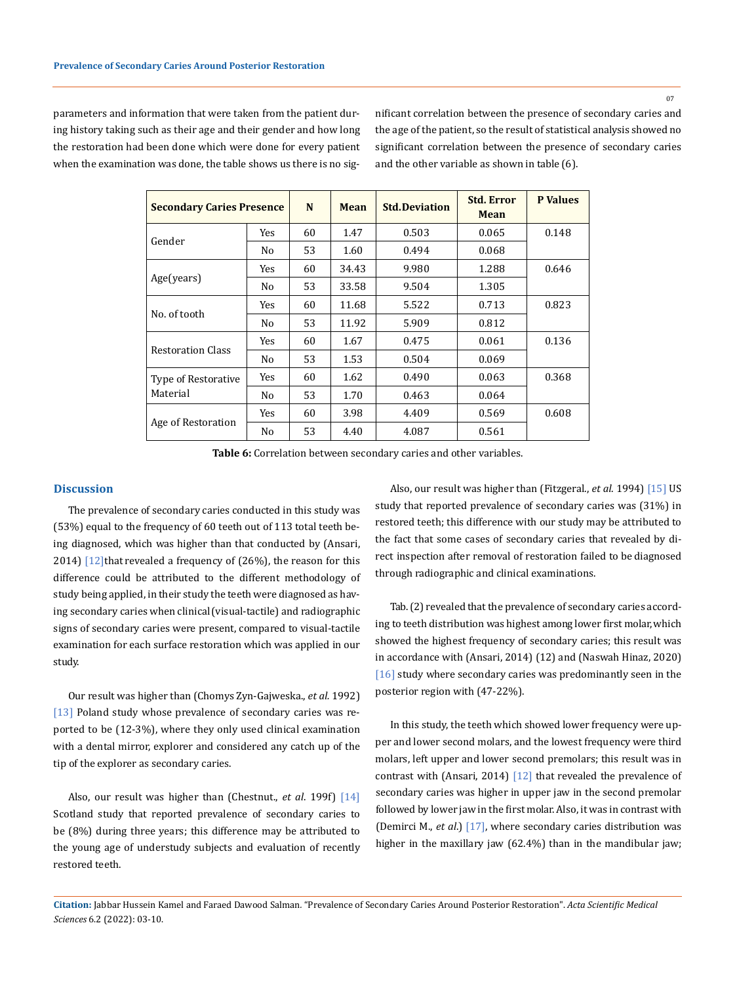07

parameters and information that were taken from the patient during history taking such as their age and their gender and how long the restoration had been done which were done for every patient when the examination was done, the table shows us there is no significant correlation between the presence of secondary caries and the age of the patient, so the result of statistical analysis showed no significant correlation between the presence of secondary caries and the other variable as shown in table (6).

| <b>Secondary Caries Presence</b> | N              | Mean | <b>Std.Deviation</b> | <b>Std. Error</b><br>Mean | <b>P</b> Values |       |
|----------------------------------|----------------|------|----------------------|---------------------------|-----------------|-------|
| Gender                           | Yes            | 60   | 1.47                 | 0.503                     | 0.065           | 0.148 |
|                                  | No             | 53   | 1.60                 | 0.494                     | 0.068           |       |
|                                  | Yes            | 60   | 34.43                | 9.980                     | 1.288           | 0.646 |
| Age(years)                       | N <sub>0</sub> | 53   | 33.58                | 9.504                     | 1.305           |       |
|                                  | Yes            | 60   | 11.68                | 5.522                     | 0.713           | 0.823 |
| No. of tooth                     | No             | 53   | 11.92                | 5.909                     | 0.812           |       |
|                                  | Yes            | 60   | 1.67                 | 0.475                     | 0.061           | 0.136 |
| <b>Restoration Class</b>         | N <sub>0</sub> | 53   | 1.53                 | 0.504                     | 0.069           |       |
| <b>Type of Restorative</b>       | Yes            | 60   | 1.62                 | 0.490                     | 0.063           | 0.368 |
| Material                         | No.            | 53   | 1.70                 | 0.463                     | 0.064           |       |
|                                  | Yes            | 60   | 3.98                 | 4.409                     | 0.569           | 0.608 |
| Age of Restoration               | N <sub>0</sub> | 53   | 4.40                 | 4.087                     | 0.561           |       |

**Table 6:** Correlation between secondary caries and other variables.

#### **Discussion**

The prevalence of secondary caries conducted in this study was (53%) equal to the frequency of 60 teeth out of 113 total teeth being diagnosed, which was higher than that conducted by (Ansari, 2014)  $[12]$ that revealed a frequency of  $(26%)$ , the reason for this difference could be attributed to the different methodology of study being applied, in their study the teeth were diagnosed as having secondary caries when clinical (visual-tactile) and radiographic signs of secondary caries were present, compared to visual-tactile examination for each surface restoration which was applied in our study.

Our result was higher than (Chomys Zyn-Gajweska., *et al.* 1992) [13] Poland study whose prevalence of secondary caries was reported to be (12-3%), where they only used clinical examination with a dental mirror, explorer and considered any catch up of the tip of the explorer as secondary caries.

Also, our result was higher than (Chestnut., *et al*. 199f) [14] Scotland study that reported prevalence of secondary caries to be (8%) during three years; this difference may be attributed to the young age of understudy subjects and evaluation of recently restored teeth.

Also, our result was higher than (Fitzgeral., *et al*. 1994) [15] US study that reported prevalence of secondary caries was (31%) in restored teeth; this difference with our study may be attributed to the fact that some cases of secondary caries that revealed by direct inspection after removal of restoration failed to be diagnosed through radiographic and clinical examinations.

Tab. (2) revealed that the prevalence of secondary caries according to teeth distribution was highest among lower first molar, which showed the highest frequency of secondary caries; this result was in accordance with (Ansari, 2014) (12) and (Naswah Hinaz, 2020) [16] study where secondary caries was predominantly seen in the posterior region with (47-22%).

In this study, the teeth which showed lower frequency were upper and lower second molars, and the lowest frequency were third molars, left upper and lower second premolars; this result was in contrast with (Ansari, 2014) [12] that revealed the prevalence of secondary caries was higher in upper jaw in the second premolar followed by lower jaw in the first molar. Also, it was in contrast with (Demirci M., *et al*.) [17], where secondary caries distribution was higher in the maxillary jaw (62.4%) than in the mandibular jaw;

**Citation:** Jabbar Hussein Kamel and Faraed Dawood Salman*.* "Prevalence of Secondary Caries Around Posterior Restoration". *Acta Scientific Medical Sciences* 6.2 (2022): 03-10.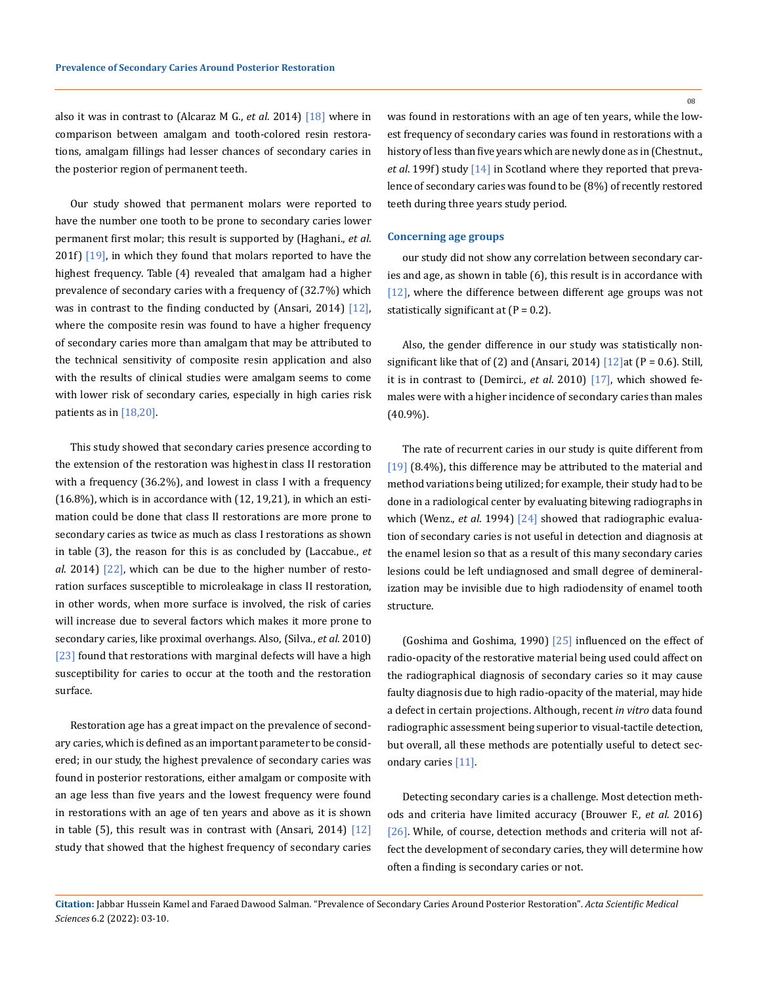also it was in contrast to (Alcaraz M G., *et al*. 2014) [18] where in comparison between amalgam and tooth-colored resin restorations, amalgam fillings had lesser chances of secondary caries in the posterior region of permanent teeth.

Our study showed that permanent molars were reported to have the number one tooth to be prone to secondary caries lower permanent first molar; this result is supported by (Haghani., *et al*. 201f)  $[19]$ , in which they found that molars reported to have the highest frequency. Table (4) revealed that amalgam had a higher prevalence of secondary caries with a frequency of (32.7%) which was in contrast to the finding conducted by (Ansari, 2014) [12], where the composite resin was found to have a higher frequency of secondary caries more than amalgam that may be attributed to the technical sensitivity of composite resin application and also with the results of clinical studies were amalgam seems to come with lower risk of secondary caries, especially in high caries risk patients as in [18,20].

This study showed that secondary caries presence according to the extension of the restoration was highest in class II restoration with a frequency (36.2%), and lowest in class I with a frequency (16.8%), which is in accordance with (12, 19,21), in which an estimation could be done that class II restorations are more prone to secondary caries as twice as much as class I restorations as shown in table (3), the reason for this is as concluded by (Laccabue., *et al*. 2014) [22], which can be due to the higher number of restoration surfaces susceptible to microleakage in class II restoration, in other words, when more surface is involved, the risk of caries will increase due to several factors which makes it more prone to secondary caries, like proximal overhangs. Also, (Silva., *et al*. 2010) [23] found that restorations with marginal defects will have a high susceptibility for caries to occur at the tooth and the restoration surface.

Restoration age has a great impact on the prevalence of secondary caries, which is defined as an important parameter to be considered; in our study, the highest prevalence of secondary caries was found in posterior restorations, either amalgam or composite with an age less than five years and the lowest frequency were found in restorations with an age of ten years and above as it is shown in table  $(5)$ , this result was in contrast with (Ansari, 2014)  $\lceil 12 \rceil$ study that showed that the highest frequency of secondary caries 08

was found in restorations with an age of ten years, while the lowest frequency of secondary caries was found in restorations with a history of less than five years which are newly done as in (Chestnut., *et al*. 199f) study [14] in Scotland where they reported that prevalence of secondary caries was found to be (8%) of recently restored teeth during three years study period.

#### **Concerning age groups**

our study did not show any correlation between secondary caries and age, as shown in table (6), this result is in accordance with [12], where the difference between different age groups was not statistically significant at  $(P = 0.2)$ .

Also, the gender difference in our study was statistically nonsignificant like that of (2) and (Ansari, 2014)  $[12]$ at (P = 0.6). Still, it is in contrast to (Demirci., *et al*. 2010) [17], which showed females were with a higher incidence of secondary caries than males (40.9%).

The rate of recurrent caries in our study is quite different from [19] (8.4%), this difference may be attributed to the material and method variations being utilized; for example, their study had to be done in a radiological center by evaluating bitewing radiographs in which (Wenz., *et al*. 1994) [24] showed that radiographic evaluation of secondary caries is not useful in detection and diagnosis at the enamel lesion so that as a result of this many secondary caries lesions could be left undiagnosed and small degree of demineralization may be invisible due to high radiodensity of enamel tooth structure.

(Goshima and Goshima, 1990)  $\left[25\right]$  influenced on the effect of radio-opacity of the restorative material being used could affect on the radiographical diagnosis of secondary caries so it may cause faulty diagnosis due to high radio-opacity of the material, may hide a defect in certain projections. Although, recent *in vitro* data found radiographic assessment being superior to visual-tactile detection, but overall, all these methods are potentially useful to detect secondary caries [11].

Detecting secondary caries is a challenge. Most detection methods and criteria have limited accuracy (Brouwer F., *et al*. 2016) [26]. While, of course, detection methods and criteria will not affect the development of secondary caries, they will determine how often a finding is secondary caries or not.

**Citation:** Jabbar Hussein Kamel and Faraed Dawood Salman*.* "Prevalence of Secondary Caries Around Posterior Restoration". *Acta Scientific Medical Sciences* 6.2 (2022): 03-10.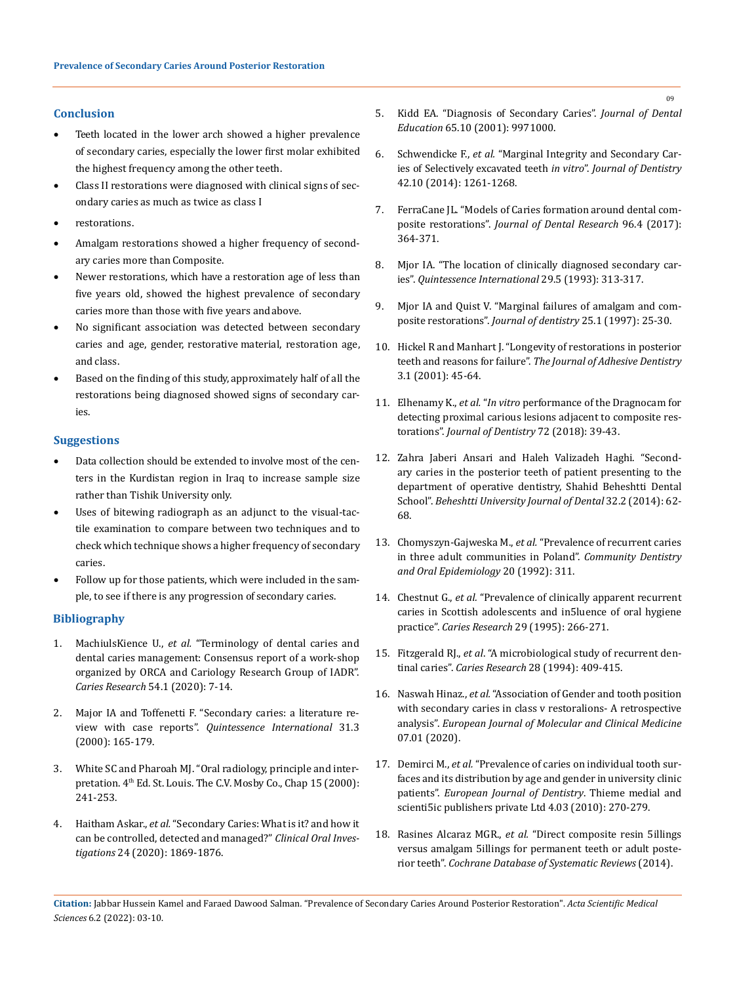## **Conclusion**

- Teeth located in the lower arch showed a higher prevalence of secondary caries, especially the lower first molar exhibited the highest frequency among the other teeth.
- Class II restorations were diagnosed with clinical signs of secondary caries as much as twice as class I
- restorations.
- Amalgam restorations showed a higher frequency of secondary caries more than Composite.
- Newer restorations, which have a restoration age of less than five years old, showed the highest prevalence of secondary caries more than those with five years and above.
- No significant association was detected between secondary caries and age, gender, restorative material, restoration age, and class.
- Based on the finding of this study, approximately half of all the restorations being diagnosed showed signs of secondary caries.

### **Suggestions**

- Data collection should be extended to involve most of the centers in the Kurdistan region in Iraq to increase sample size rather than Tishik University only.
- Uses of bitewing radiograph as an adjunct to the visual-tactile examination to compare between two techniques and to check which technique shows a higher frequency of secondary caries.
- Follow up for those patients, which were included in the sample, to see if there is any progression of secondary caries.

### **Bibliography**

- 1. MachiulsKience U., *et al.* ["Terminology of dental caries and](https://www.karger.com/Article/FullText/503309) [dental caries management: Consensus report of a work-shop](https://www.karger.com/Article/FullText/503309) [organized by ORCA and Cariology Research Group of IADR".](https://www.karger.com/Article/FullText/503309) *[Caries Research](https://www.karger.com/Article/FullText/503309)* 54.1 (2020): 7-14.
- 2. [Major IA and Toffenetti F. "Secondary caries: a literature re](https://pubmed.ncbi.nlm.nih.gov/11203922/)view with case reports". *[Quintessence International](https://pubmed.ncbi.nlm.nih.gov/11203922/)* 31.3 [\(2000\): 165-179.](https://pubmed.ncbi.nlm.nih.gov/11203922/)
- 3. [White SC and Pharoah MJ. "Oral radiology, principle and inter](https://www.textbooks.com/Oral-Radiology-Principles-and-Interpretation-4th-Edition/9780815194910/Stuart-C-White-and-Michael-J-Pharoah.php)pretation. 4<sup>th</sup> Ed. St. Louis. The C.V. Mosby Co., Chap 15 (2000): [241-253.](https://www.textbooks.com/Oral-Radiology-Principles-and-Interpretation-4th-Edition/9780815194910/Stuart-C-White-and-Michael-J-Pharoah.php)
- 4. Haitham Askar., *et al.* ["Secondary Caries: What is it? and how it](https://pubmed.ncbi.nlm.nih.gov/32300980/) [can be controlled, detected and managed?"](https://pubmed.ncbi.nlm.nih.gov/32300980/) *Clinical Oral Investigations* 24 (2020): 1869-1876.
- 5. [Kidd EA. "Diagnosis of Secondary Caries".](https://pubmed.ncbi.nlm.nih.gov/11700003/) *Journal of Dental Education* [65.10 \(2001\): 9971000.](https://pubmed.ncbi.nlm.nih.gov/11700003/)
- 6. Schwendicke F., *et al.* ["Marginal Integrity and Secondary Car](https://pubmed.ncbi.nlm.nih.gov/25132367/)[ies of Selectively excavated teeth](https://pubmed.ncbi.nlm.nih.gov/25132367/) *in vitro*". *Journal of Dentistry* [42.10 \(2014\): 1261-1268.](https://pubmed.ncbi.nlm.nih.gov/25132367/)
- 7. [FerraCane JL. "Models of Caries formation around dental com](https://pubmed.ncbi.nlm.nih.gov/28318391/)posite restorations". *[Journal of Dental Research](https://pubmed.ncbi.nlm.nih.gov/28318391/)* 96.4 (2017): [364-371.](https://pubmed.ncbi.nlm.nih.gov/28318391/)
- 8. [Mjor IA. "The location of clinically diagnosed secondary car](https://pubmed.ncbi.nlm.nih.gov/9693650/)ies". *[Quintessence International](https://pubmed.ncbi.nlm.nih.gov/9693650/)* 29.5 (1993): 313-317.
- 9. [Mjor IA and Quist V. "Marginal failures of amalgam and com](https://pubmed.ncbi.nlm.nih.gov/9080736/)[posite restorations".](https://pubmed.ncbi.nlm.nih.gov/9080736/) *Journal of dentistry* 25.1 (1997): 25-30.
- 10. [Hickel R and Manhart J. "Longevity of restorations in posterior](https://pubmed.ncbi.nlm.nih.gov/11317384/)  teeth and reasons for failure". *[The Journal of Adhesive Dentistry](https://pubmed.ncbi.nlm.nih.gov/11317384/)*  [3.1 \(2001\): 45-64.](https://pubmed.ncbi.nlm.nih.gov/11317384/)
- 11. Elhenamy K., *et al.* "*In vitro* [performance of the Dragnocam for](https://pubmed.ncbi.nlm.nih.gov/29526667/)  [detecting proximal carious lesions adjacent to composite res](https://pubmed.ncbi.nlm.nih.gov/29526667/)torations". *[Journal of Dentistry](https://pubmed.ncbi.nlm.nih.gov/29526667/)* 72 (2018): 39-43.
- 12. [Zahra Jaberi Ansari and Haleh Valizadeh Haghi. "Second](https://journals.sbmu.ac.ir/dentistry/article/view/24787)[ary caries in the posterior teeth of patient presenting to the](https://journals.sbmu.ac.ir/dentistry/article/view/24787)  [department of operative dentistry, Shahid Beheshtti Dental](https://journals.sbmu.ac.ir/dentistry/article/view/24787)  School". *[Beheshtti University Journal of Dental](https://journals.sbmu.ac.ir/dentistry/article/view/24787)* 32.2 (2014): 62- [68.](https://journals.sbmu.ac.ir/dentistry/article/view/24787)
- 13. Chomyszyn-Gajweska M., *et al.* ["Prevalence of recurrent caries](https://onlinelibrary.wiley.com/doi/10.1111/j.1600-0528.1992.tb01708.x)  [in three adult communities in Poland".](https://onlinelibrary.wiley.com/doi/10.1111/j.1600-0528.1992.tb01708.x) *Community Dentistry [and Oral Epidemiology](https://onlinelibrary.wiley.com/doi/10.1111/j.1600-0528.1992.tb01708.x)* 20 (1992): 311.
- 14. Chestnut G., *et al.* ["Prevalence of clinically apparent recurrent](https://pubmed.ncbi.nlm.nih.gov/7656295/)  [caries in Scottish adolescents and in5luence of oral hygiene](https://pubmed.ncbi.nlm.nih.gov/7656295/)  practice". *Caries Research* [29 \(1995\): 266-271.](https://pubmed.ncbi.nlm.nih.gov/7656295/)
- 15. Fitzgerald RJ., *et al*[. "A microbiological study of recurrent den](https://pubmed.ncbi.nlm.nih.gov/7850843/)tinal caries". *Caries Research* [28 \(1994\): 409-415.](https://pubmed.ncbi.nlm.nih.gov/7850843/)
- 16. Naswah Hinaz., *et al.* ["Association of Gender and tooth position](https://ejmcm.com/article_3363.html)  [with secondary caries in class v restoralions- A retrospective](https://ejmcm.com/article_3363.html)  analysis". *[European Journal of Molecular and Clinical Medicine](https://ejmcm.com/article_3363.html)*  [07.01 \(2020\).](https://ejmcm.com/article_3363.html)
- 17. Demirci M., *et al.* ["Prevalence of caries on individual tooth sur](https://pubmed.ncbi.nlm.nih.gov/20613915/)[faces and its distribution by age and gender in university clinic](https://pubmed.ncbi.nlm.nih.gov/20613915/)  patients". *[European Journal of Dentistry](https://pubmed.ncbi.nlm.nih.gov/20613915/)*. Thieme medial and [scienti5ic publishers private Ltd 4.03 \(2010\): 270-279.](https://pubmed.ncbi.nlm.nih.gov/20613915/)
- 18. Rasines Alcaraz MGR., *et al.* ["Direct composite resin 5illings](https://pubmed.ncbi.nlm.nih.gov/24683067/)  [versus amalgam 5illings for permanent teeth or adult poste](https://pubmed.ncbi.nlm.nih.gov/24683067/)rior teeth". *[Cochrane Database of Systematic Reviews](https://pubmed.ncbi.nlm.nih.gov/24683067/)* (2014).

**Citation:** Jabbar Hussein Kamel and Faraed Dawood Salman*.* "Prevalence of Secondary Caries Around Posterior Restoration". *Acta Scientific Medical Sciences* 6.2 (2022): 03-10.

09